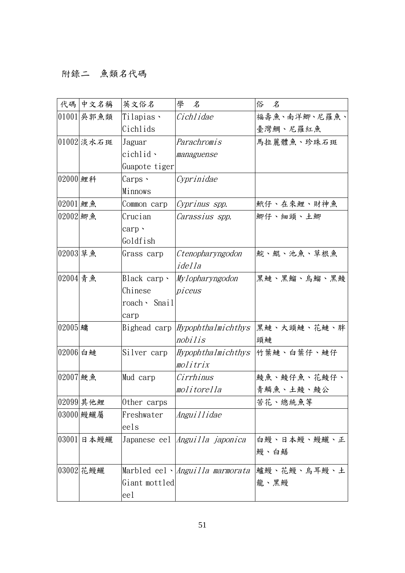## 附錄二 魚類名代碼

|          | 代碼 中文名稱      | 英文俗名            | 學<br>名                                 | 俗<br>名            |
|----------|--------------|-----------------|----------------------------------------|-------------------|
|          | $01001$ 吴郭魚類 | Tilapias 、      | Cichlidae                              | 福壽魚、南洋鯽、尼羅魚、      |
|          |              | Cichlids        |                                        | 臺灣鯛、尼羅紅魚          |
|          | 01002 淡水石斑   | Jaguar          | Parachromis                            | 馬拉麗體魚、珍珠石斑        |
|          |              | $cichlid \cdot$ | managuense                             |                   |
|          |              | Guapote tiger   |                                        |                   |
| 02000 鯉科 |              | Carps、          | Cyprinidae                             |                   |
|          |              | Minnows         |                                        |                   |
| 02001 鯉魚 |              | Common carp     | Cyprinus spp.                          | <b>鮘仔、在來鯉、財神魚</b> |
| 02002 細魚 |              | Crucian         | Carassius spp.                         | 鯽仔、細頭、土鯽          |
|          |              | carp .          |                                        |                   |
|          |              | Goldfish        |                                        |                   |
| 02003 草魚 |              | Grass carp      | Ctenopharyngodon                       | 鯇、鯤、池魚、草根魚        |
|          |              |                 | idella                                 |                   |
| 02004 青魚 |              | Black carp、     | Mylopharyngodon                        | 黑鰱、黑鰡、烏鰡、黑鯪       |
|          |              | Chinese         | piceus                                 |                   |
|          |              | roach、 Snail    |                                        |                   |
|          |              | carp            |                                        |                   |
| 02005 鱅  |              | Bighead carp    | Hypophthalmichthys                     | 黑鰱、大頭鰱、花鰱、胖       |
|          |              |                 | nobilis                                | 頭鰱                |
| 02006 白鰱 |              | Silver carp     | Hypophthalmichthys                     | 竹葉鰱、白葉仔、鰱仔        |
|          |              |                 | molitrix                               |                   |
| 02007 鯁魚 |              | Mud carp        | Cirrhinus                              | 鯪魚、鯪仔魚、花鯪仔、       |
|          |              |                 | molitorella                            | 青鱗魚、土鯪、鯪公         |
|          | 02099 其他鯉    | Other carps     |                                        | 苦花、總統魚等           |
|          | 03000 鰻鱺屬    | Freshwater      | Anguillidae                            |                   |
|          |              | eels            |                                        |                   |
|          | 03001 日本鰻鱺   |                 | Japanese eel <i>Anguilla japonica</i>  | 白鰻、日本鰻、鰻鱺、正       |
|          |              |                 |                                        | 鰻、白鱔              |
|          | 03002 花鰻鱺    |                 | Marbled eel、 <i>Anguilla marmorata</i> | 鱸鰻、花鰻、烏耳鰻、土       |
|          |              | Giant mottled   |                                        | 龍、黑鰻              |
|          |              | eel             |                                        |                   |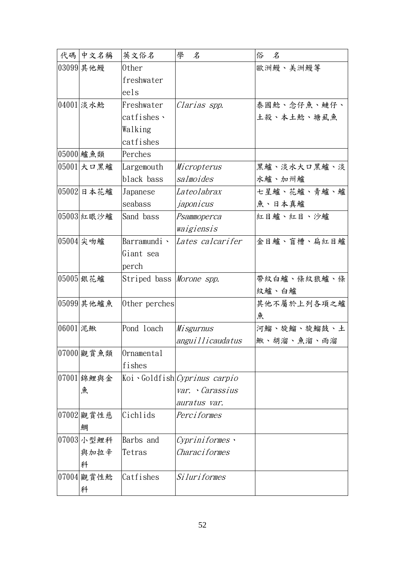|          | 代碼 中文名稱    | 英文俗名                            | 學<br>名                       | 俗<br>名      |
|----------|------------|---------------------------------|------------------------------|-------------|
|          | 03099 其他鰻  | 0ther                           |                              | 歐洲鰻、美洲鰻等    |
|          |            | freshwater                      |                              |             |
|          |            | eels                            |                              |             |
|          | 04001 淡水鯰  | Freshwater                      | Clarias spp.                 | 泰國鯰、念仔魚、鰱仔、 |
|          |            | catfishes $\cdot$               |                              | 土殺、本土鯰、塘虱魚  |
|          |            | Walking                         |                              |             |
|          |            | catfishes                       |                              |             |
|          | 05000 鱸魚類  | Perches                         |                              |             |
|          | 05001 大口黑鱸 | Largemouth                      | Micropterus                  | 黑鱸、淡水大口黑鱸、淡 |
|          |            | black bass                      | salmoides                    | 水鱸、加州鱸      |
|          | 05002 日本花鱸 | Japanese                        | Lateolabrax                  | 七星鱸、花鱸、青鱸、鱸 |
|          |            | seabass                         | japonicus                    | 魚、日本真鱸      |
|          | 05003 紅眼沙鱸 | Sand bass                       | Psammoperca                  | 紅目鱸、紅目、沙鱸   |
|          |            |                                 | waigiensis                   |             |
|          | 05004 尖吻鱸  | Barramundi ·                    | Lates calcarifer             | 金目鱸、盲槽、扁紅目鱸 |
|          |            | Giant sea                       |                              |             |
|          |            | perch                           |                              |             |
|          | 05005 銀花鱸  | Striped bass <i>Morone spp.</i> |                              | 帶紋白鱸、條紋狼鱸、條 |
|          |            |                                 |                              | 紋鱸、白鱸       |
|          | 05099 其他鱸魚 | Other perches                   |                              | 其他不屬於上列各項之鱸 |
|          |            |                                 |                              | 魚           |
| 06001 泥鰍 |            | Pond loach                      | Misgurnus                    | 河鰡、旋鰡、旋鰡鼓、土 |
|          |            |                                 | anguillicaudatus             | 鰍、胡溜、魚溜、雨溜  |
|          |            | 07000 觀賞魚類  Ornamental          |                              |             |
|          |            | fishes                          |                              |             |
|          | 07001 錦鯉與金 |                                 | Koi Goldfish Cyprinus carpio |             |
|          | 魚          |                                 | var. Carassius               |             |
|          |            |                                 | auratus var.                 |             |
|          | 07002 觀賞性慈 | Cichlids                        | Perciformes                  |             |
|          | 鯛          |                                 |                              |             |
|          | 07003 小型鯉科 | Barbs and                       | Cypriniformes ,              |             |
|          | 與加拉辛       | Tetras                          | Characiformes                |             |
|          | 科          |                                 |                              |             |
|          | 07004 觀賞性鯰 | Catfishes                       | Siluriformes                 |             |
|          | 科          |                                 |                              |             |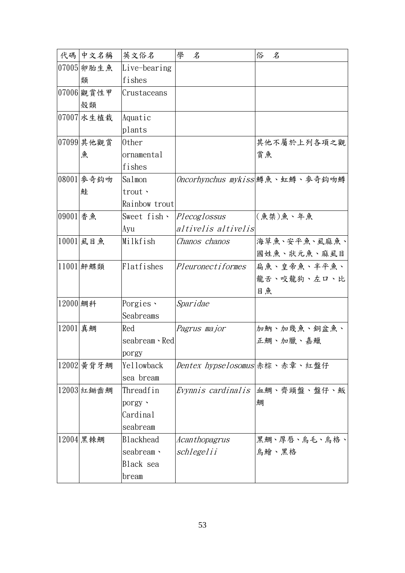|          | 代碼 中文名稱    | 英文俗名               | 學<br>$\mathcal{Z}$                   | 俗<br>名                          |
|----------|------------|--------------------|--------------------------------------|---------------------------------|
|          | 07005 卵胎生魚 | Live-bearing       |                                      |                                 |
|          | 類          | fishes             |                                      |                                 |
|          | 07006 觀賞性甲 | Crustaceans        |                                      |                                 |
|          | 殻類         |                    |                                      |                                 |
|          | 07007 水生植栽 | Aquatic            |                                      |                                 |
|          |            | plants             |                                      |                                 |
|          | 07099 其他觀賞 | 0ther              |                                      | 其他不屬於上列各項之觀                     |
|          | 魚          | ornamental         |                                      | 賞魚                              |
|          |            | fishes             |                                      |                                 |
|          | 08001 麥奇鈎吻 | Salmon             |                                      | Oncorhynchus mykiss 鱒魚、虹鱒、麥奇鈎吻鱒 |
|          | 鮭          | trout ·            |                                      |                                 |
|          |            | Rainbow trout      |                                      |                                 |
| 09001 香魚 |            | Sweet $fish \cdot$ | Plecoglossus                         | $(6.2, 2.2, 6.2)$ (魚桀)魚、年魚      |
|          |            | Ayu                | altivelis altivelis                  |                                 |
|          | 10001 虱目魚  | Milkfish           | Chanos chanos                        | 海草魚、安平魚、虱麻魚、                    |
|          |            |                    |                                      | 國姓魚、狀元魚、麻虱目                     |
|          | 11001 鮃鰈類  | Flatfishes         | <i>Pleuronectiformes</i>             | 扁魚、皇帝魚、半平魚、                     |
|          |            |                    |                                      | 龍舌、咬龍狗、左口、比                     |
|          |            |                    |                                      | 目魚                              |
| 12000 鯛科 |            | Porgies $\cdot$    | Sparidae                             |                                 |
|          |            | Seabreams          |                                      |                                 |
| 12001 真鯛 |            | Red                | Pagrus major                         | 加魶、加幾魚、銅盆魚、                     |
|          |            | seabream · Red     |                                      | 正鯛、加臘、嘉鱲                        |
|          |            | porgy              |                                      |                                 |
|          | 12002 黄背牙鯛 | Yellowback         | <i>Dentex hypselosomus</i> 赤棕、赤章、紅盤仔 |                                 |
|          |            | sea bream          |                                      |                                 |
|          | 12003 紅鋤齒鯛 | Threadfin          |                                      | Evynnis cardinalis  血鯛、齊頭盤、盤仔、魬 |
|          |            | porgy $\cdot$      |                                      | 鯛                               |
|          |            | Cardinal           |                                      |                                 |
|          |            | seabream           |                                      |                                 |
|          | 12004 黑棘鯛  | <b>Blackhead</b>   | Acanthopagrus                        | 黑鯛、厚唇、烏毛、烏格、                    |
|          |            | seabream \         | schlegelii                           | 烏鱠、黑格                           |
|          |            | Black sea          |                                      |                                 |
|          |            | bream              |                                      |                                 |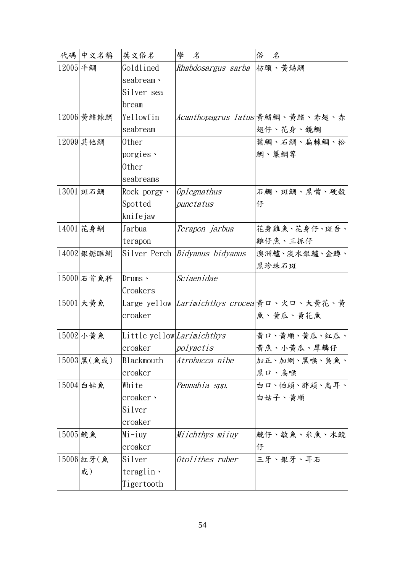|          | 代碼 中文名稱       | 英文俗名                       | 學<br>名                            | 俗<br>$\mathcal{Z}$                                  |
|----------|---------------|----------------------------|-----------------------------------|-----------------------------------------------------|
| 12005 平鯛 |               | Goldlined                  | <i>Rhabdosargus sarba</i>  枋頭、黃錫鯛 |                                                     |
|          |               | seabream \                 |                                   |                                                     |
|          |               | Silver sea                 |                                   |                                                     |
|          |               | bream                      |                                   |                                                     |
|          | 12006 黄鰭棘鯛    | Yellowfin                  |                                   | Acanthopagrus latus 黃鰭鯛、黃鰭、赤翅、赤                     |
|          |               | seabream                   |                                   | 翅仔、花身、鏡鯛                                            |
|          | 12099 其他鯛     | 0ther                      |                                   | 葉鯛、石鯛、扁棘鯛、松                                         |
|          |               | porgies ·                  |                                   | 鯛、簾鯛等                                               |
|          |               | 0ther                      |                                   |                                                     |
|          |               | seabreams                  |                                   |                                                     |
|          | 13001 斑石鯛     | Rock porgy $\cdot$         | <i>Oplegnathus</i>                | 石鯛、斑鯛、黑嘴、硬殼                                         |
|          |               | Spotted                    | punctatus                         | 仔                                                   |
|          |               | knifejaw                   |                                   |                                                     |
|          | 14001 花身鯯     | Jarbua                     | Terapon jarbua                    | 花身雞魚、花身仔、斑吾、                                        |
|          |               | terapon                    |                                   | 雞仔魚、三抓仔                                             |
|          | 14002 銀鋸眶鯯    |                            | Silver Perch   Bidyanus bidyanus  | 澳洲鱸、淡水銀鱸、金鱒、                                        |
|          |               |                            |                                   | 黑珍珠石斑                                               |
|          | 15000 石首魚科    | $Drums \sim$               | Sciaenidae                        |                                                     |
|          |               | Croakers                   |                                   |                                                     |
|          | 15001 大黃魚     |                            |                                   | Large yellow <i>Larimichthys crocea</i> 黃ロ、火ロ、大黄花、黄 |
|          |               | croaker                    |                                   | 魚、黃瓜、黃花魚                                            |
|          | 15002 小黄魚     | Little yellow Larimichthys |                                   | 黄口、黄順、黄瓜、紅瓜、                                        |
|          |               | croaker                    | polyactis                         | 黃魚、小黃瓜、厚鱗仔                                          |
|          | 15003 黑 (魚或)  | Blackmouth                 | Atrobucca nibe                    | 加正、加網、黑喉、臭魚、                                        |
|          |               | croaker                    |                                   | 黑口、烏喉                                               |
|          | $ 15004 $ 白姑魚 | White                      | Pennahia spp.                     | 白口、帕頭、胖頭、烏耳、                                        |
|          |               | croaker <b>·</b>           |                                   | 白姑子、黄順                                              |
|          |               | Silver                     |                                   |                                                     |
|          |               | croaker                    |                                   |                                                     |
| 15005 鮸魚 |               | $Mi$ -iuy                  | Miichthys miiuy                   | 鮸仔、敏魚、米魚、水鮸                                         |
|          |               | croaker                    |                                   | 仔                                                   |
|          | 15006 紅牙(魚    | Silver                     | Otolithes ruber                   | 三牙、銀牙、耳石                                            |
|          | 或)            | teraglin \                 |                                   |                                                     |
|          |               | Tigertooth                 |                                   |                                                     |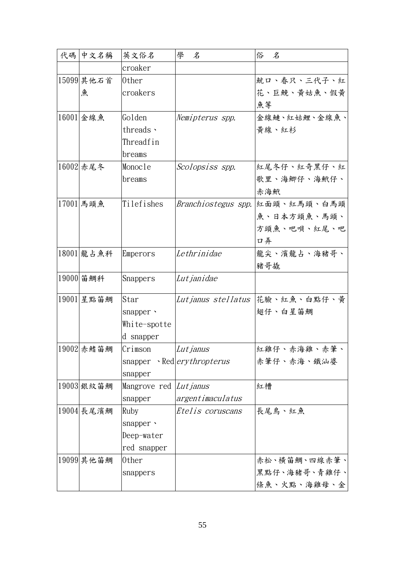| 代碼 | 中文名稱           | 英文俗名                          | 學<br>名                              | 俗<br>名                                   |
|----|----------------|-------------------------------|-------------------------------------|------------------------------------------|
|    |                | croaker                       |                                     |                                          |
|    | $15099$ 其他石首   | 0ther                         |                                     | 就口、春只、三代子、紅                              |
|    | 魚              | croakers                      |                                     | 花、巨鮸、黄姑魚、假黄                              |
|    |                |                               |                                     | 魚等                                       |
|    | 16001 金線魚      | Golden                        | Nemipterus spp.                     | 金線鰱、紅姑鯉、金線魚、                             |
|    |                | threads ·                     |                                     | 黄線、紅杉                                    |
|    |                | Threadfin                     |                                     |                                          |
|    |                | breams                        |                                     |                                          |
|    | 16002 赤尾冬      | Monocle                       | Scolopsiss spp.                     | 紅尾冬仔、紅奇黑仔、紅                              |
|    |                | breams                        |                                     | 歌里、海鯽仔、海鮘仔、                              |
|    |                |                               |                                     | 赤海鮘                                      |
|    | 17001 馬頭魚      | Tilefishes                    |                                     | <i>Branchiostegus spp.</i>  紅面頭、紅馬頭、白馬頭  |
|    |                |                               |                                     | 魚、日本方頭魚、馬頭、                              |
|    |                |                               |                                     | 方頭魚、吧唄、紅尾、吧                              |
|    |                |                               |                                     | 口弄                                       |
|    | 18001 龍占魚科     | Emperors                      | Lethrinidae                         | 龍尖、濱龍占、海豬哥、                              |
|    |                |                               |                                     | 豬哥撬                                      |
|    | 19000 笛鯛科      | Snappers                      | Lut janidae                         |                                          |
|    | 19001 星點笛鯛     | Star                          |                                     | <i>Lut janus stel latus</i>  花臉、紅魚、白點仔、黃 |
|    |                | snapper ·                     |                                     | 翅仔、白星笛鯛                                  |
|    |                | White-spotte                  |                                     |                                          |
|    |                | d snapper                     |                                     |                                          |
|    | $ 19002 $ 赤鰭笛鯛 | Crimson                       | Lut janus                           | 紅雞仔、赤海雞、赤筆、                              |
|    |                |                               | snapper · Red <i>ery thropterus</i> | 赤筆仔、赤海、鐵汕婆                               |
|    |                | snapper                       |                                     |                                          |
|    | 19003 銀紋笛鯛     | Mangrove red <i>Lut janus</i> |                                     | 紅槽                                       |
|    |                | snapper                       | argentimaculatus                    |                                          |
|    | 19004 長尾濱鯛     | Ruby                          | Etelis coruscans                    | 長尾鳥、紅魚                                   |
|    |                | snapper $\cdot$               |                                     |                                          |
|    |                | Deep-water                    |                                     |                                          |
|    |                | red snapper                   |                                     |                                          |
|    | 19099 其他笛鯛     | 0ther                         |                                     | 赤松、横笛鯛、四線赤筆、                             |
|    |                | snappers                      |                                     | 黑點仔、海豬哥、青雞仔、                             |
|    |                |                               |                                     | 條魚、火點、海雞母、金                              |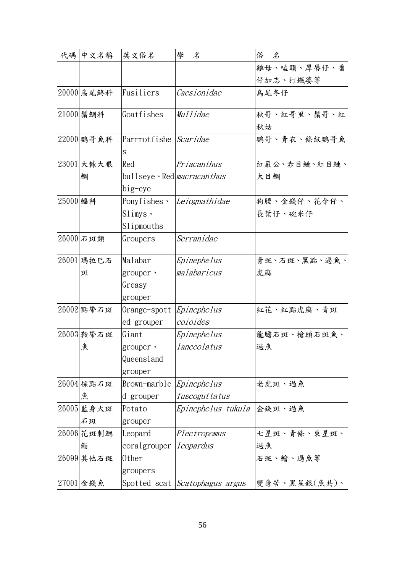| 代碼       | 中文名稱       | 英文俗名                                     | 學<br>名                                | 俗<br>$\mathcal{Z}$ |
|----------|------------|------------------------------------------|---------------------------------------|--------------------|
|          |            |                                          |                                       | 雞母、嗑頭、厚唇仔、番        |
|          |            |                                          |                                       | 仔加志、打鐵婆等           |
|          | 20000 烏尾鮗科 | Fusiliers                                | Caesionidae                           | 烏尾冬仔               |
|          | 21000 鬚鯛科  | Goatfishes                               | Mullidae                              | 秋哥、紅哥里、鬚哥、紅        |
|          |            |                                          |                                       | 秋姑                 |
|          | 22000 鸚哥魚科 | Parrrotfishe <i>Scaridae</i>             |                                       | 鸚哥、青衣、條紋鸚哥魚        |
|          |            | S                                        |                                       |                    |
|          | 23001 大棘大眼 | Red                                      | Priacanthus                           | 紅嚴公、赤目鰱、紅目鰱、       |
|          | 鯛          | bullseye $\cdot$ Red <i>macracanthus</i> |                                       | 大目鯛                |
|          |            | big-eye                                  |                                       |                    |
| 25000 鰏科 |            |                                          | Ponyfishes · <i>Leiognathidae</i>     | 狗腰、金錢仔、花令仔、        |
|          |            | $Slimys$ .                               |                                       | 長葉仔、碗米仔            |
|          |            | Slipmouths                               |                                       |                    |
|          | 26000 石斑類  | Groupers                                 | Serranidae                            |                    |
|          | 26001 瑪拉巴石 | Malabar                                  | Epinephelus                           | 青斑、石斑、黑點、過魚、       |
|          | 斑          | $grouper$ .                              | malabaricus                           | 虎麻                 |
|          |            | Greasy                                   |                                       |                    |
|          |            | grouper                                  |                                       |                    |
|          | 26002 點帶石斑 | Orange-spott                             | Epinephelus                           | 紅花、紅點虎麻、青斑         |
|          |            | ed grouper                               | coioides                              |                    |
|          | 26003 鞍帶石斑 | Giant                                    | Epinephelus                           | 龍膽石斑、槍頭石斑魚、        |
|          | 魚          | grouper ·                                | lanceolatus                           | 過魚                 |
|          |            | Queensland                               |                                       |                    |
|          |            | grouper                                  |                                       |                    |
|          | 26004 棕點石斑 | Brown-marble                             | Epinephelus                           | 老虎斑、過魚             |
|          | 魚          | d grouper                                | fuscoguttatus                         |                    |
|          | 26005 藍身大斑 | Potato                                   | Epinephelus tukula                    | 金錢斑、過魚             |
|          | 石斑         | grouper                                  |                                       |                    |
|          | 26006 花斑刺鰓 | Leopard                                  | Plectropomus                          | 七星斑、青條、東星斑、        |
|          | 鮨          | coralgrouper                             | leopardus                             | 過魚                 |
|          | 26099 其他石斑 | 0ther                                    |                                       | 石斑、鱠、過魚等           |
|          |            | groupers                                 |                                       |                    |
|          | 27001 金錢魚  |                                          | Spotted scat <i>Scatophagus argus</i> | 變身苦、黑星銀(魚共)、       |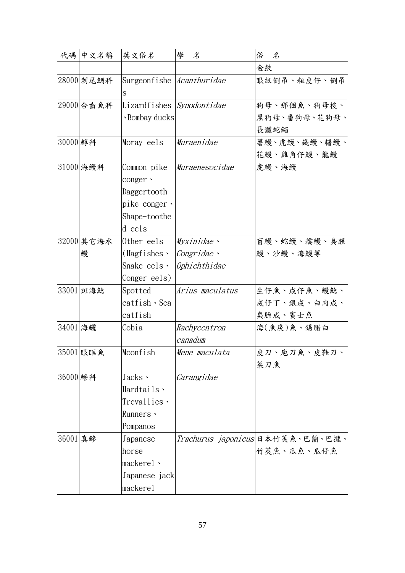| 代碼       | 中文名稱            | 英文俗名                                                                             | 學<br>名                                   | 俗<br>名                                         |
|----------|-----------------|----------------------------------------------------------------------------------|------------------------------------------|------------------------------------------------|
|          |                 |                                                                                  |                                          | 金鼓                                             |
|          | 28000 刺尾鯛科      | Surgeonfishe Acanthuridae<br>S                                                   |                                          | 眼紋倒吊、粗皮仔、倒吊                                    |
|          | 29000 合齒魚科      | Lizardfishes Synodontidae<br>· Bombay ducks                                      |                                          | 狗母、那個魚、狗母梭、<br>黑狗母、番狗母、花狗母、<br>長體蛇鯔            |
| 30000 鯙科 |                 | Moray eels                                                                       | Muraenidae                               | 薯鰻、虎鰻、錢鰻、糬鰻、<br>花鰻、雞角仔鰻、龍鰻                     |
|          | 31000 海鰻科       | Common pike<br>conger ·<br>Daggertooth<br>pike conger、<br>Shape-toothe<br>d eels | Muraenesocidae                           | 虎鰻、海鰻                                          |
|          | 32000 其它海水<br>鰻 | Other eels<br>$(Hagfishes \cdot$<br>Snake eels、<br>Conger eels)                  | Myxinidae<br>Congridae ·<br>Ophichthidae | 盲鰻、蛇鰻、糯鰻、臭腥<br>鰻、沙鰻、海鰻等                        |
|          | 33001 斑海鯰       | Spotted<br>catfish、Sea<br>catfish                                                | Arius maculatus                          | 生仔魚、成仔魚、鰻鯰、<br>成仔丁、銀成、白肉成、<br>臭臊成、賓士魚          |
| 34001 海鱺 |                 | Cobia                                                                            | Rachycentron<br>canadum                  | 海(魚戾)魚、錫腊白                                     |
|          | 35001 眼眶魚       | Moonfish                                                                         | Mene maculata                            | 皮刀、庖刀魚、皮鞋刀、<br>菜刀魚                             |
| 36000 鰺科 |                 | Jacks $\cdot$<br>Hardtails \<br>Trevallies、<br>Runners ·<br>Pompanos             | Carangidae                               |                                                |
| 36001 真鰺 |                 | Japanese<br>horse<br>mackere1<br>Japanese jack<br>mackerel                       |                                          | Trachurus japonicus 日本竹筴魚、巴蘭、巴攏、<br>竹莢魚、瓜魚、瓜仔魚 |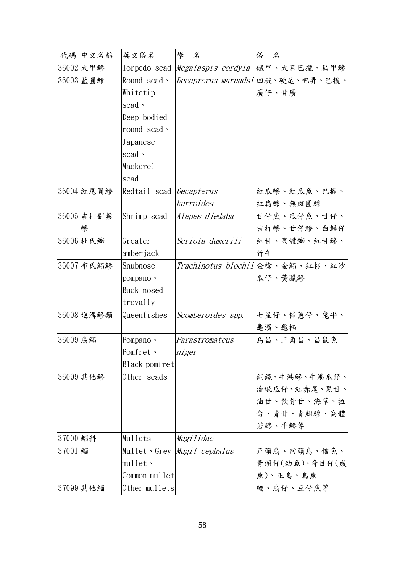|          | 代碼 中文名稱    | 英文俗名                           | 學<br>名                            | 俗<br>$\mathcal{Z}$                                   |
|----------|------------|--------------------------------|-----------------------------------|------------------------------------------------------|
|          | 36002 大甲鰺  |                                |                                   | Torpedo scad <i> Megalaspis cordyla</i>  鐵甲、大目巴攏、扁甲鰺 |
|          | 36003 藍圓鰺  | Round scad ·                   |                                   | Decapterus maruadsi 四破、硬尾、吧弄、巴攏、                     |
|          |            | Whitetip                       |                                   | 廣仔、甘廣                                                |
|          |            | $\operatorname{scal}$ .        |                                   |                                                      |
|          |            | Deep-bodied                    |                                   |                                                      |
|          |            | round scad ·                   |                                   |                                                      |
|          |            | Japanese                       |                                   |                                                      |
|          |            | scad $\cdot$                   |                                   |                                                      |
|          |            | Mackerel                       |                                   |                                                      |
|          |            | scad                           |                                   |                                                      |
|          | 36004 紅尾圓鰺 | Redtail scad <i>Decapterus</i> |                                   | 紅瓜鰺、紅瓜魚、巴攏、                                          |
|          |            |                                | kurroides                         | 紅扁鰺、無斑圓鰺                                             |
|          | 36005 吉打副葉 | Shrimp scad                    | Alepes djedaba                    | 甘仔魚、瓜仔魚、甘仔、                                          |
|          | 鰺          |                                |                                   | 吉打鰺、甘仔鰺、白鯌仔                                          |
|          | 36006 杜氏鰤  | Greater                        | Seriola dumerili                  | 紅甘、高體鰤、紅甘鰺、                                          |
|          |            | amber jack                     |                                   | 竹午                                                   |
|          | 36007 布氏鯧鰺 | Snubnose                       |                                   | Trachinotus blochii 金槍、金鯧、紅杉、紅沙                      |
|          |            | pompano ·                      |                                   | 瓜仔、黃臘鰺                                               |
|          |            | Buck-nosed                     |                                   |                                                      |
|          |            | trevally                       |                                   |                                                      |
|          | 36008 逆溝鰺類 | Queenfishes                    | Scomberoides spp.                 | 七星仔、棘蔥仔、鬼平、                                          |
|          |            |                                |                                   | 龜濱、龜柄                                                |
| 36009 鳥鯧 |            | Pompano ·                      | Parastromateus                    | 烏昌、三角昌、昌鼠魚                                           |
|          |            | Pomfret 、                      | niger                             |                                                      |
|          |            | Black pomfret                  |                                   |                                                      |
|          | 36099 其他鰺  | Other scads                    |                                   | 銅鏡、牛港鰺、牛港瓜仔、                                         |
|          |            |                                |                                   | 流氓瓜仔、紅赤尾、黑甘、                                         |
|          |            |                                |                                   | 油甘、軟骨甘、海草、拉                                          |
|          |            |                                |                                   | 命、青甘、青魽鰺、高體                                          |
|          |            |                                |                                   | 若鰺、平鰺等                                               |
| 37000 鯔科 |            | Mullets                        | Mugilidae                         |                                                      |
| 37001 鯔  |            |                                | Mullet Grey <i>Mugil cephalus</i> | 正頭烏、回頭烏、信魚、                                          |
|          |            | mullet                         |                                   | 青頭仔(幼魚)、奇目仔(成                                        |
|          |            | Common mullet                  |                                   | 魚)、正烏、烏魚                                             |
|          | 37099 其他鯔  | Other mullets                  |                                   | 鮻、烏仔、豆仔魚等                                            |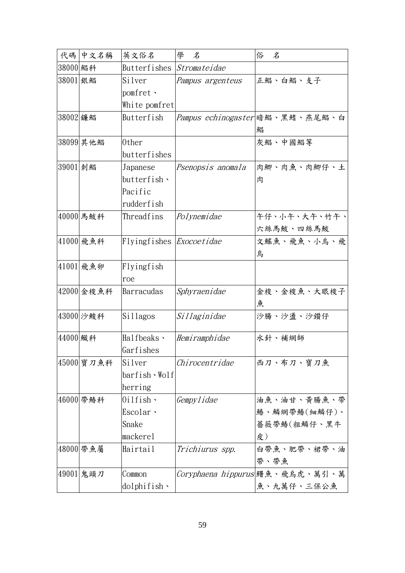| 代碼       | 中文名稱       | 英文俗名                     | 學<br>名            | 俗<br>名                                  |
|----------|------------|--------------------------|-------------------|-----------------------------------------|
| 38000 鯧科 |            | Butterfishes             | Stromateidae      |                                         |
| 38001 銀鯧 |            | Silver                   | Pampus argenteus  | 正鯧、白鯧、支子                                |
|          |            | pomfret 、                |                   |                                         |
|          |            | White pomfret            |                   |                                         |
| 38002 鐮鯧 |            | Butterfish               |                   | <i>Pampus echinogaster</i>  暗鯧、黑鰭、燕尾鯧、白 |
|          |            |                          |                   | 鯧                                       |
|          | 38099 其他鯧  | 0ther                    |                   | 灰鯧、中國鯧等                                 |
|          |            | butterfishes             |                   |                                         |
| 39001 刺鯧 |            | Japanese                 | Psenopsis anomala | 肉鯽、肉魚、肉鯽仔、土                             |
|          |            | $butterfish \cdot$       |                   | 肉                                       |
|          |            | Pacific                  |                   |                                         |
|          |            | rudderfish               |                   |                                         |
|          | 40000 馬鮁科  | Threadfins               | Polynemidae       | 午仔、小午、大午、竹午、                            |
|          |            |                          |                   | 六絲馬鮁、四絲馬鮁                               |
|          | 41000 飛魚科  | Flyingfishes Exocoetidae |                   | 文鰩魚、飛魚、小鳥、飛                             |
|          |            |                          |                   | 烏                                       |
|          | 41001 飛魚卵  | Flyingfish               |                   |                                         |
|          |            | roe                      |                   |                                         |
|          | 42000 金梭魚科 | Barracudas               | Sphyraenidae      | 金梭、金梭魚、大眼梭子                             |
|          |            |                          |                   | 魚                                       |
|          | 43000 沙鮻科  | Sillagos                 | Sillaginidae      | 沙腸、沙盪、沙鑽仔                               |
| 44000 鱵科 |            | Halfbeaks $\cdot$        | Hemiramphidae     | 水針、補網師                                  |
|          |            | Garfishes                |                   |                                         |
|          | 45000 寶刀魚科 | Silver                   | Chirocentridae    | 西刀、布刀、寶刀魚                               |
|          |            | barfish、Wolf             |                   |                                         |
|          |            | herring                  |                   |                                         |
|          | 46000 帶鰆科  | $0$ ilfish $\cdot$       | Gempylidae        | 油魚、油甘、黃腸魚、帶                             |
|          |            | Escolar ·                |                   | 鰆、鱗網帶鰆(細鱗仔)、                            |
|          |            | Snake                    |                   | 薔薇帶鰆(粗鱗仔、黑牛                             |
|          |            | mackerel                 |                   | 皮)                                      |
|          | 48000 帶魚屬  | Hairtail                 | Trichiurus spp.   | 白帶魚、肥帶、裙帶、油                             |
|          |            |                          |                   | 帶、帶魚                                    |
|          | 49001 鬼頭刀  | Common                   |                   | Coryphaena hippurus 鱰魚、飛鳥虎、萬引、萬         |
|          |            |                          |                   | 魚、九萬仔、三保公魚                              |
|          |            | $d$ olphifish $\cdot$    |                   |                                         |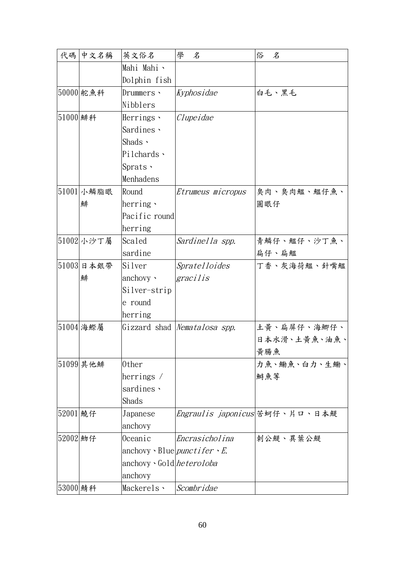| 代碼       | 中文名稱       | 英文俗名                                             | 學<br>名                       | 俗<br>名                         |
|----------|------------|--------------------------------------------------|------------------------------|--------------------------------|
|          |            | Mahi Mahi \                                      |                              |                                |
|          |            | Dolphin fish                                     |                              |                                |
|          | 50000 舵魚科  | Drummers 、                                       | Kyphosidae                   | 白毛、黑毛                          |
|          |            | Nibblers                                         |                              |                                |
| 51000 鯡科 |            | Herrings $\cdot$                                 | Clupeidae                    |                                |
|          |            | Sardines ·                                       |                              |                                |
|          |            | Shads $\cdot$                                    |                              |                                |
|          |            | Pilchards ·                                      |                              |                                |
|          |            | $Sprats$ .                                       |                              |                                |
|          |            | Menhadens                                        |                              |                                |
|          | 51001 小鱗脂眼 | Round                                            | Etrumeus micropus            | 臭肉、臭肉鰮、鰮仔魚、                    |
|          | 鯡          | herring $\cdot$                                  |                              | 圓眼仔                            |
|          |            | Pacific round                                    |                              |                                |
|          |            | herring                                          |                              |                                |
|          | 51002 小沙丁屬 | Scaled                                           | Sardinella spp.              | 青鱗仔、鰮仔、沙丁魚、                    |
|          |            | sardine                                          |                              | 扁仔、扁鰮                          |
|          | 51003 日本銀帶 | Silver                                           | <i>Spratelloides</i>         | 丁香、灰海荷鰮、針嘴鰮                    |
|          | 鯡          | anchovy $\cdot$                                  | gracilis                     |                                |
|          |            | Silver-strip                                     |                              |                                |
|          |            | e round                                          |                              |                                |
|          |            | herring                                          |                              |                                |
|          | 51004 海鰶屬  |                                                  | Gizzard shad Nematalosa spp. | 土黃、扁屏仔、海鯽仔、                    |
|          |            |                                                  |                              | 日本水滑、土黄魚、油魚、                   |
|          |            |                                                  |                              | 黃腸魚                            |
|          | 51099 其他鯡  | 0ther                                            |                              | 力魚、鰳魚、白力、生鰳、                   |
|          |            | herrings $\overline{\ }$                         |                              | 鰣魚等                            |
|          |            | sardines,                                        |                              |                                |
|          |            | Shads                                            |                              |                                |
| 52001 饒仔 |            | Japanese                                         |                              | Engraulis japonicus 苦蚵仔、片口、日本鯷 |
|          |            | anchovy                                          |                              |                                |
| 52002 魩仔 |            | 0ceanic                                          | Encrasicholina               | 刺公鯷、異葉公鯷                       |
|          |            | anchovy $\cdot$ Blue <i>punctifer</i> $\cdot$ E. |                              |                                |
|          |            | anchovy Gold <i>heteroloba</i>                   |                              |                                |
|          |            | anchovy                                          |                              |                                |
| 53000 鯖科 |            | Mackerels <b>\</b>                               | Scombridae                   |                                |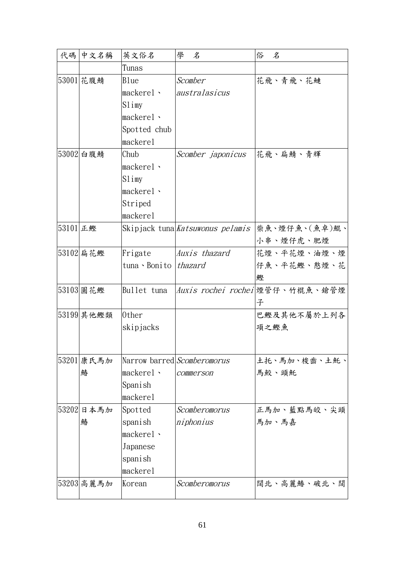|          | 代碼 中文名稱    | 英文俗名             | 學<br>名                           | 俗<br>名                          |
|----------|------------|------------------|----------------------------------|---------------------------------|
|          |            | Tunas            |                                  |                                 |
|          | 53001 花腹鯖  | Blue             | Scomber                          | 花飛、青飛、花鰱                        |
|          |            | mackere1         | australasicus                    |                                 |
|          |            | Slimy            |                                  |                                 |
|          |            | $mackere1$ .     |                                  |                                 |
|          |            | Spotted chub     |                                  |                                 |
|          |            | mackerel         |                                  |                                 |
|          | 53002 白腹鯖  | Chub             | Scomber <i>japonicus</i>         | 花飛、扁鯖、青輝                        |
|          |            | mackere1         |                                  |                                 |
|          |            | S1 imy           |                                  |                                 |
|          |            | mackere1         |                                  |                                 |
|          |            | Striped          |                                  |                                 |
|          |            | mackerel         |                                  |                                 |
| 53101 正鰹 |            |                  | Skipjack tuna Katsuwonus pelamis | 柴魚、煙仔魚、(魚卓)鯤、                   |
|          |            |                  |                                  | 小串、煙仔虎、肥煙                       |
|          | 53102 扁花鰹  | Frigate          | Auxis thazard                    | 花煙、平花煙、油煙、煙                     |
|          |            | tuna · Bonito    | thazard                          | 仔魚、平花鰹、憨煙、花                     |
|          |            |                  |                                  | 鰹                               |
|          | 53103 圓花鰹  | Bullet tuna      |                                  | Auxis rochei rochei 煙管仔、竹棍魚、鎗管煙 |
|          |            |                  |                                  | 子                               |
|          | 53199 其他鰹類 | 0ther            |                                  | 巴鰹及其他不屬於上列各                     |
|          |            | skipjacks        |                                  | 項之鰹魚                            |
|          |            |                  |                                  |                                 |
|          | 53201 康氏馬加 |                  | Narrow barred Scomberomorus      | 土托、馬加、梭齒、土魠、                    |
|          | 鰆          | mackere1         | commerson                        | 馬鮫、頭魠                           |
|          |            | Spanish          |                                  |                                 |
|          |            | mackerel         |                                  |                                 |
|          | 53202 日本馬加 | Spotted          | Scomberomorus                    | 正馬加、藍點馬皎、尖頭                     |
|          | 鰆          | spanish          | niphonius                        | 馬加、馬嘉                           |
|          |            | mackerel $\cdot$ |                                  |                                 |
|          |            | Japanese         |                                  |                                 |
|          |            | spanish          |                                  |                                 |
|          |            | mackerel         |                                  |                                 |
|          | 53203 高麗馬加 | Korean           | Scomberomorus                    | 闊北、高麗鰆、破北、闊                     |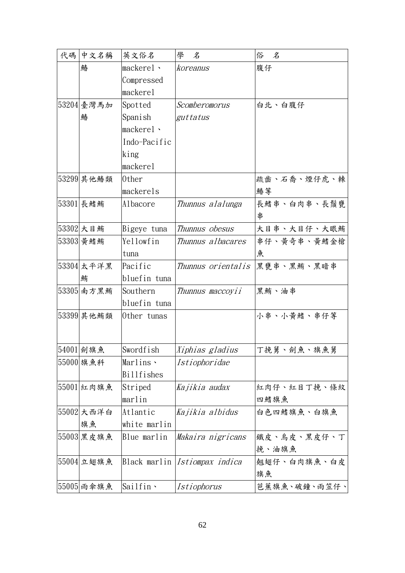| 代碼 | 中文名稱       | 英文俗名              | 學<br>名             | 俗<br>名       |
|----|------------|-------------------|--------------------|--------------|
|    | 鰆          | makerel.          | koreanus           | 腹仔           |
|    |            | Compressed        |                    |              |
|    |            | mackerel          |                    |              |
|    | 53204 臺灣馬加 | Spotted           | Scomberomorus      | 白北、白腹仔       |
|    | 鰆          | Spanish           | guttatus           |              |
|    |            | mackerel \        |                    |              |
|    |            | Indo-Pacific      |                    |              |
|    |            | king              |                    |              |
|    |            | mackerel          |                    |              |
|    | 53299 其他鰆類 | 0ther             |                    | 疏齒、石喬、煙仔虎、棘  |
|    |            | mackerels         |                    | 鰆等           |
|    | 53301 長鰭鮪  | Albacore          | Thunnus alalunga   | 長鰭串、白肉串、長鬚甕  |
|    |            |                   |                    | 串            |
|    | 53302 大目鮪  | Bigeye tuna       | Thunnus obesus     | 大目串、大目仔、大眼鮪  |
|    | 53303  黄鰭鮪 | Yellowfin         | Thunnus albacares  | 串仔、黄奇串、黄鰭金槍  |
|    |            | tuna              |                    | 魚            |
|    | 53304 太平洋黑 | Pacific           | Thunnus orientalis | 黑甕串、黑鮪、黑暗串   |
|    | 鮪          | bluefin tuna      |                    |              |
|    | 53305 南方黑鮪 | Southern          | Thunnus maccoyii   | 黑鮪、油串        |
|    |            | bluefin tuna      |                    |              |
|    | 53399 其他鮪類 | Other tunas       |                    | 小串、小黄鰭、串仔等   |
|    |            |                   |                    |              |
|    |            |                   |                    |              |
|    | 54001 劍旗魚  | Swordfish         | Xiphias gladius    | 丁挽舅、劍魚、旗魚舅   |
|    | 55000 旗魚科  | Marlins \         | Istiophoridae      |              |
|    |            | <b>Billfishes</b> |                    |              |
|    | 55001 紅肉旗魚 | Striped           | Kajikia audax      | 紅肉仔、紅目丁挽、條紋  |
|    |            | marlin            |                    | 四鰭旗魚         |
|    | 55002 大西洋白 | Atlantic          | Kajikia albidus    | 白色四鰭旗魚、白旗魚   |
|    | 旗魚         | white marlin      |                    |              |
|    | 55003 黑皮旗魚 | Blue marlin       | Makaira nigricans  | 鐵皮、烏皮、黑皮仔、丁  |
|    |            |                   |                    | 挽、油旗魚        |
|    | 55004 立翅旗魚 | Black marlin      | Istiompax indica   | 翹翅仔、白肉旗魚、白皮  |
|    |            |                   |                    | 旗魚           |
|    | 55005 雨傘旗魚 | Sailfin \         | Istiophorus        | 芭蕉旗魚、破鐘、雨笠仔、 |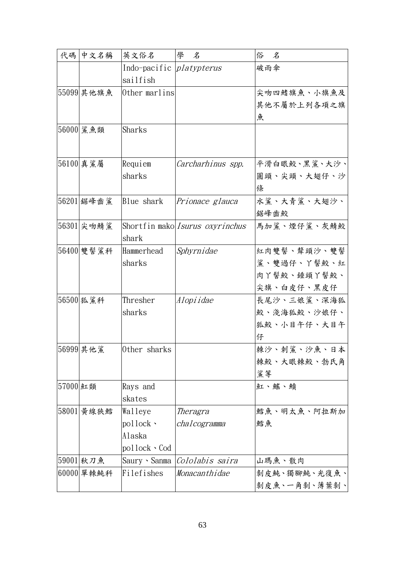| 代碼       | 中文名稱        | 英文俗名                            | 學<br>名                                 | 俗<br>名       |
|----------|-------------|---------------------------------|----------------------------------------|--------------|
|          |             | Indo-pacific <i>platypterus</i> |                                        | 破雨傘          |
|          |             | sailfish                        |                                        |              |
|          | 55099 其他旗魚  | Other marlins                   |                                        | 尖吻四鰭旗魚、小旗魚及  |
|          |             |                                 |                                        | 其他不屬於上列各項之旗  |
|          |             |                                 |                                        | 魚            |
|          | 56000 鯊魚類   | Sharks                          |                                        |              |
|          |             |                                 |                                        |              |
|          |             |                                 |                                        |              |
|          | 56100 真鯊屬   | Requiem                         | Carcharhinus spp.                      | 平滑白眼鮫、黑鯊、大沙、 |
|          |             | sharks                          |                                        | 圓頭、尖頭、大翅仔、沙  |
|          |             |                                 |                                        | 條            |
|          | 56201 鋸峰齒鯊  | Blue shark                      | Prionace glauca                        | 水鯊、大青鯊、大翅沙、  |
|          |             |                                 |                                        | 鋸峰齒鮫         |
|          | 56301 尖吻鯖鯊  |                                 | Shortfin mako <i>Isurus oxyrinchus</i> | 馬加鯊、煙仔鯊、灰鯖鮫  |
|          |             | shark                           |                                        |              |
|          | 56400 雙髻鯊科  | Hammerhead                      | Sphyrnidae                             | 紅肉雙髻、犛頭沙、雙髻  |
|          |             | sharks                          |                                        | 鯊、雙過仔、丫髻鮫、紅  |
|          |             |                                 |                                        | 肉丫髻鮫、錘頭丫髻鮫、  |
|          |             |                                 |                                        | 尖旗、白皮仔、黑皮仔   |
|          | 56500 狐鯊科   | Thresher                        | Alopiidae                              | 長尾沙、三娘鯊、深海狐  |
|          |             | sharks                          |                                        | 鮫、淺海狐鮫、沙娘仔、  |
|          |             |                                 |                                        | 狐鮫、小目午仔、大目午  |
|          |             |                                 |                                        | 仔            |
|          | 56999 其他鯊   | Other sharks                    |                                        | 棘沙、刺鯊、沙魚、日本  |
|          |             |                                 |                                        | 棘鮫、大眼棘鮫、勃氏角  |
|          |             |                                 |                                        | 鯊等           |
| 57000 紅類 |             | Rays and                        |                                        | 血、鰩、鱝        |
|          |             | skates                          |                                        |              |
|          | 58001  黄線狹鱈 | Walleye                         | Theragra                               | 鱈魚、明太魚、阿拉斯加  |
|          |             | $pollock$ .                     | chalcogramma                           | 鱈魚           |
|          |             | Alaska                          |                                        |              |
|          |             | pollock 、 Cod                   |                                        |              |
|          | 59001 秋刀魚   | Saury 、Sanma                    | Cololabis saira                        | 山瑪魚、散肉       |
|          | 60000 單棘魨科  | Filefishes                      | Monacanthidae                          | 剝皮魨、獨腳魨、光復魚、 |
|          |             |                                 |                                        | 剝皮魚、一角剝、薄葉剝、 |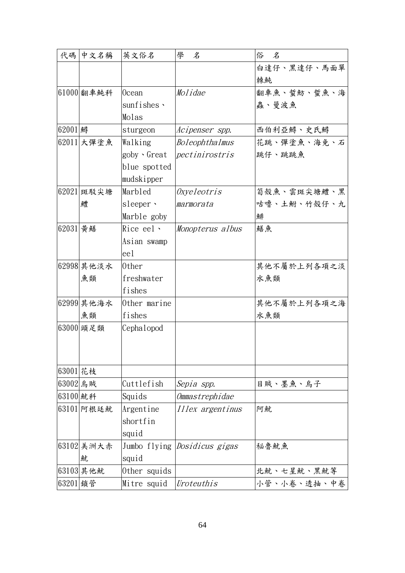| 代碼       | 中文名稱       | 英文俗名             | 學<br>名           | 俗<br>$\mathcal{Z}$ |
|----------|------------|------------------|------------------|--------------------|
|          |            |                  |                  | 白達仔、黑達仔、馬面單        |
|          |            |                  |                  | 棘魨                 |
|          | 61000 翻車純科 | 0cean            | Molidae          | 翻車魚、蜇魴、蜇魚、海        |
|          |            | sunfishes ·      |                  | 蟲、曼波魚              |
|          |            | Molas            |                  |                    |
| 62001 鱘  |            | sturgeon         | Acipenser spp.   | 西伯利亞鱘、史氏鱘          |
|          | 62011 大彈塗魚 | Walking          | Boleophthalmus   | 花跳、彈塗魚、海免、石        |
|          |            | goby Great       | pectinirostris   | 跳仔、跳跳魚             |
|          |            | blue spotted     |                  |                    |
|          |            | mudskipper       |                  |                    |
|          | 62021 斑駁尖塘 | Marbled          | Oxyeleotris      | 筍殼魚、雲斑尖塘鱧、黑        |
|          | 鱧          | sleeper $\cdot$  | marmorata        | 咕噜、土鮒、竹殼仔、九        |
|          |            | Marble goby      |                  | 鯡                  |
| 62031 黃鱔 |            | Rice eel $\cdot$ | Monopterus albus | 鱔魚                 |
|          |            | Asian swamp      |                  |                    |
|          |            | eel              |                  |                    |
|          | 62998 其他淡水 | 0ther            |                  | 其他不屬於上列各項之淡        |
|          | 魚類         | freshwater       |                  | 水魚類                |
|          |            | fishes           |                  |                    |
|          | 62999 其他海水 | Other marine     |                  | 其他不屬於上列各項之海        |
|          | 魚類         | fishes           |                  | 水魚類                |
|          | 63000 頭足類  | Cephalopod       |                  |                    |
|          |            |                  |                  |                    |
|          |            |                  |                  |                    |
| 63001 花枝 |            |                  |                  |                    |
| 63002 烏賊 |            | Cuttlefish       | Sepia spp.       | 目賊、墨魚、烏子           |
| 63100 魷科 |            | Squids           | Ommastrephidae   |                    |
|          | 63101 阿根廷魷 | Argentine        | Illex argentinus | 阿魷                 |
|          |            | shortfin         |                  |                    |
|          |            | squid            |                  |                    |
|          | 63102 美洲大赤 | Jumbo flying     | Dosidicus gigas  | 秘魯魷魚               |
|          | 魷          | squid            |                  |                    |
|          | 63103 其他魷  | Other squids     |                  | 北魷、七星魷、黑魷等         |
| 63201 鎖管 |            | Mitre squid      | Uroteuthis       | 小管、小卷、透抽、中卷        |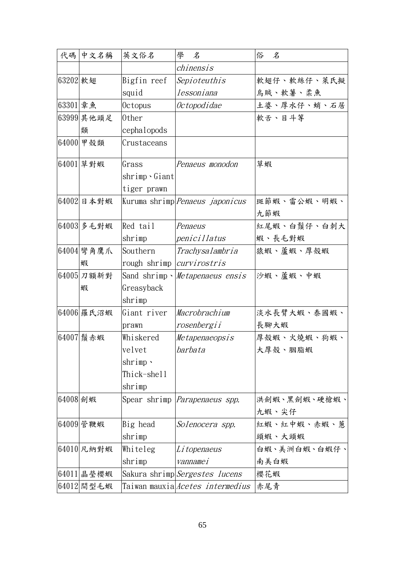|          | 代碼 中文名稱       | 英文俗名                             | 學<br>名                                  | 俗<br>名       |
|----------|---------------|----------------------------------|-----------------------------------------|--------------|
|          |               |                                  | chinensis                               |              |
| 63202 軟翅 |               | Bigfin reef                      | Sepioteuthis                            | 軟翅仔、軟絲仔、萊氏擬  |
|          |               | squid                            | lessoniana                              | 烏賊、軟薯、柔魚     |
| 63301 章魚 |               | 0ctopus                          | Octopodidae                             | 土婆、厚水仔、蛸、石居  |
|          | 63999 其他頭足    | 0ther                            |                                         | 軟舌、目斗等       |
|          | 類             | cephalopods                      |                                         |              |
|          | 64000  甲殻類    | Crustaceans                      |                                         |              |
|          | 64001 草對蝦     | Grass                            | Penaeus monodon                         | 草蝦           |
|          |               | $shrimp$ . $Giant$               |                                         |              |
|          |               | tiger prawn                      |                                         |              |
|          | 64002 日本對蝦    |                                  | Kuruma shrimp Penaeus japonicus         | 斑節蝦、雷公蝦、明蝦、  |
|          |               |                                  |                                         | 九節蝦          |
|          | 64003 多毛對蝦    | Red tail                         | Penaeus                                 | 紅尾蝦、白鬚仔、白刺大  |
|          |               | shrimp                           | penicillatus                            | 蝦、長毛對蝦       |
|          | 64004 彎角鷹爪    | Southern                         | Trachysalambria                         | 猿蝦、蘆蝦、厚殼蝦    |
|          | 蝦             | rough shrimp <i>curvirostris</i> |                                         |              |
|          | $64005$ 刀額新對  |                                  | Sand shrimp · Metapenaeus ensis         | 沙蝦、蘆蝦、中蝦     |
|          | 蝦             | Greasyback                       |                                         |              |
|          |               | shrimp                           |                                         |              |
|          | 64006 羅氏沼蝦    | Giant river                      | Macrobrachium                           | 淡水長臂大蝦、泰國蝦、  |
|          |               | prawn                            | rosenbergii                             | 長腳大蝦         |
|          | 64007 鬚赤蝦     | Whiskered                        | Metapenaeopsis                          | 厚殼蝦、火燒蝦、狗蝦、  |
|          |               | velvet                           | barbata                                 | 大厚殼、胭脂蝦      |
|          |               | shrimp $\cdot$                   |                                         |              |
|          |               | Thick-shell                      |                                         |              |
|          |               | shrimp                           |                                         |              |
| 64008 劍蝦 |               |                                  | Spear shrimp <i>Parapenaeus spp.</i>    | 洪劍蝦、黑劍蝦、硬槍蝦、 |
|          |               |                                  |                                         | 九蝦、尖仔        |
|          | 64009 管鞭蝦     | Big head                         | Solenocera spp.                         | 紅蝦、紅中蝦、赤蝦、蔥  |
|          |               | shrimp                           |                                         | 頭蝦、大頭蝦       |
|          | 64010 凡納對蝦    | Whiteleg                         | Li topenaeus                            | 白蝦、美洲白蝦、白蝦仔、 |
|          |               | shrimp                           | vannamei                                | 南美白蝦         |
|          | 64011 晶 瑩 櫻 蝦 |                                  | Sakura shrimp <i>Sergestes lucens</i>   | 櫻花蝦          |
|          | 64012 間型毛蝦    |                                  | Taiwan mauxia <i>Acetes intermedius</i> | 赤尾青          |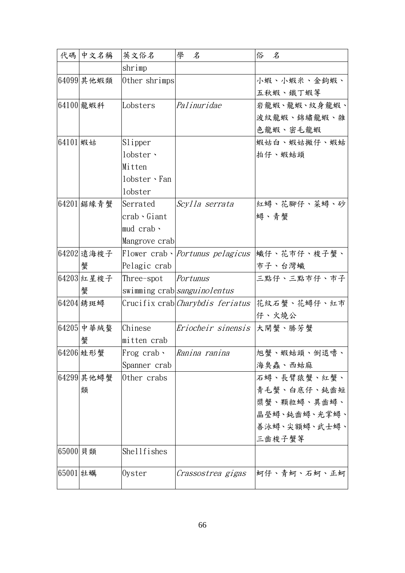|          | 代碼 中文名稱    | 英文俗名             | 學<br>名                                          | 俗<br>$\mathcal{\mathcal{Z}}$ |
|----------|------------|------------------|-------------------------------------------------|------------------------------|
|          |            | shrimp           |                                                 |                              |
|          | 64099 其他蝦類 | Other shrimps    |                                                 | 小蝦、小蝦米、金鉤蝦、                  |
|          |            |                  |                                                 | 五秋蝦、鐵丁蝦等                     |
|          | 64100 龍蝦科  | Lobsters         | Palinuridae                                     | 岩龍蝦、龍蝦、紋身龍蝦、                 |
|          |            |                  |                                                 | 波紋龍蝦、錦繡龍蝦、雜                  |
|          |            |                  |                                                 | 色龍蝦、密毛龍蝦                     |
| 64101 蝦姑 |            | Slipper          |                                                 | 蝦姑白、蝦姑撇仔、蝦蛄                  |
|          |            | lobster ·        |                                                 | 拍仔、蝦蛄頭                       |
|          |            | Mitten           |                                                 |                              |
|          |            | lobster · Fan    |                                                 |                              |
|          |            | lobster          |                                                 |                              |
|          | 64201 鋸緣青蟹 | Serrated         | Scylla serrata                                  | 紅蟳、花腳仔、菜蟳、砂                  |
|          |            | crab、Giant       |                                                 | 蟳、青蟹                         |
|          |            | mud crab $\cdot$ |                                                 |                              |
|          |            | Mangrove crab    |                                                 |                              |
|          | 64202 遠海梭子 |                  | Flower $crab$ $\cdot$ <i>Portunus pelagicus</i> | 蠘仔、花市仔、梭子蟹、                  |
|          | 蟹          | Pelagic crab     |                                                 | 市子、台灣蠘                       |
|          | 64203 紅星梭子 | Three-spot       | Portunus                                        | 三點仔、三點市仔、市子                  |
|          | 蟹          |                  | swimming crab <i>sanguinolentus</i>             |                              |
|          | 64204 绣斑蟳  |                  | Crucifix crab <i>Charybdis feriatus</i>         | 花紋石蟹、花蟳仔、紅市                  |
|          |            |                  |                                                 | 仔、火燒公                        |
|          | 64205 中華絨螯 | Chinese          | Eriocheir sinensis                              | 大閘蟹、勝芳蟹                      |
|          | 蟹          | mitten crab      |                                                 |                              |
|          | 64206 蛙形蟹  | Frog crab、       | Ranina ranina                                   | 旭蟹、蝦蛄頭、倒退嚕、                  |
|          |            | Spanner crab     |                                                 | 海臭蟲、西蛄麻                      |
|          | 64299 其他蟳蟹 | Other crabs      |                                                 | 石蟳、長臂猿蟹、紅蟹、                  |
|          | 類          |                  |                                                 | 青毛蟹、白底仔、鈍齒短                  |
|          |            |                  |                                                 | 槳蟹、顆粒蟳、異齒蟳、                  |
|          |            |                  |                                                 | 晶瑩蟳、鈍齒蟳、光掌蟳、                 |
|          |            |                  |                                                 | 善泳蟳、尖額蟳、武士蟳、                 |
|          |            |                  |                                                 | 三齒梭子蟹等                       |
| 65000 貝類 |            | Shellfishes      |                                                 |                              |
| 65001 牡蠣 |            | Oyster           | Crassostrea gigas                               | 蚵仔、青蚵、石蚵、正蚵                  |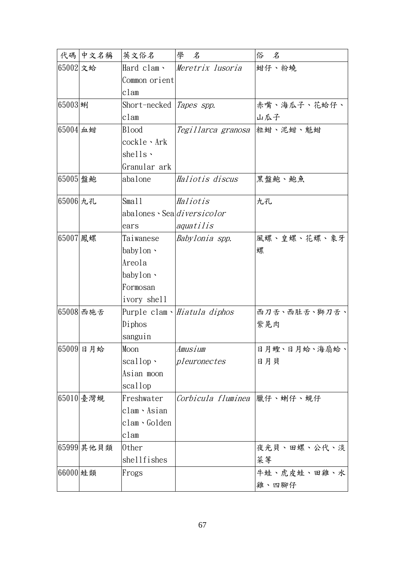|          | 代碼 中文名稱    | 英文俗名                        | 學<br>名                       | 俗<br>名       |
|----------|------------|-----------------------------|------------------------------|--------------|
| 65002 文蛤 |            | Hard clam、                  | Meretrix lusoria             | 蚶仔、粉蟯        |
|          |            | Common orient               |                              |              |
|          |            | clam                        |                              |              |
| 65003 蜊  |            | Short-necked                | Tapes spp.                   | 赤嘴、海瓜子、花蛤仔、  |
|          |            | clam                        |                              | 山瓜子          |
| 65004 血蚶 |            | <b>Blood</b>                | Tegillarca granosa           | 粒蚶、泥蚶、魁蚶     |
|          |            | cockle、Ark                  |                              |              |
|          |            | shells $\cdot$              |                              |              |
|          |            | Granular ark                |                              |              |
| 65005 盤鮑 |            | abalone                     | Haliotis discus              | 黑盤鮑、鮑魚       |
| 65006 九孔 |            | Sma11                       | Haliotis                     | 九孔           |
|          |            | abalones · Sealdiversicolor |                              |              |
|          |            | ears                        | aquatilis                    |              |
| 65007 鳳螺 |            | Taiwanese                   | Babylonia spp.               | 風螺、皇螺、花螺、象牙  |
|          |            | baby $1$ on $\cdot$         |                              | 螺            |
|          |            | Areola                      |                              |              |
|          |            | baby $1$ on $\cdot$         |                              |              |
|          |            | Formosan                    |                              |              |
|          |            | ivory shell                 |                              |              |
|          | 65008 西施舌  |                             | Purple clam · Hiatula diphos | 西刀舌、西肚舌、獅刀舌、 |
|          |            | Diphos                      |                              | 紫晃肉          |
|          |            | sanguin                     |                              |              |
|          | 65009日月蛤   | Moon                        | Amusium                      | 日月蟶、日月蛤、海扇蛤、 |
|          |            | $scallop$ .                 | pleuronectes                 | 日月貝          |
|          |            | Asian moon                  |                              |              |
|          |            | scallop                     |                              |              |
|          | 65010 臺灣蜆  | Freshwater                  | Corbicula fluminea  臘仔、蝲仔、蜆仔 |              |
|          |            | clam · Asian                |                              |              |
|          |            | clam、Golden                 |                              |              |
|          |            | clam                        |                              |              |
|          | 65999 其他貝類 | 0ther                       |                              | 夜光貝、田螺、公代、淡  |
|          |            | shellfishes                 |                              | 菜等           |
| 66000 蛙類 |            | Frogs                       |                              | 牛蛙、虎皮蛙、田雞、水  |
|          |            |                             |                              | 雞、四腳仔        |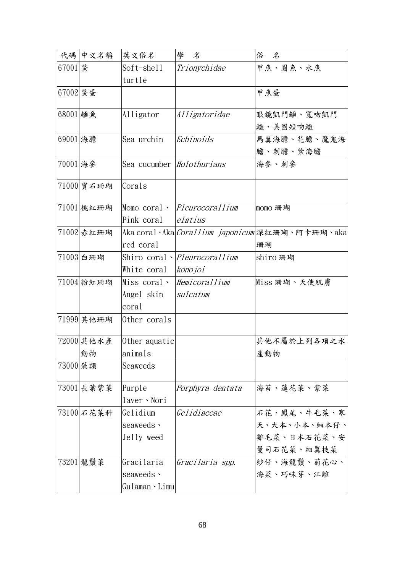|          | 代碼 中文名稱    | 英文俗名                             | 學<br>名                               | 俗<br>名                                                   |
|----------|------------|----------------------------------|--------------------------------------|----------------------------------------------------------|
| 67001 驚  |            | Soft-shell                       | Trionychidae                         | 甲魚、圓魚、水魚                                                 |
|          |            | turtle                           |                                      |                                                          |
| 67002 驚蛋 |            |                                  |                                      | 甲魚蛋                                                      |
|          |            |                                  |                                      |                                                          |
| 68001 鱷魚 |            | Alligator                        | Alligatoridae                        | 眼鏡凱門鱷、寬吻凱門                                               |
|          |            |                                  |                                      | 鱷、美國短吻鱷                                                  |
| 69001 海膽 |            | Sea urchin                       | Echinoids                            | 馬糞海膽、花膽、魔鬼海                                              |
|          |            |                                  |                                      | 膽、刺膽、紫海膽                                                 |
| 70001 海參 |            | Sea cucumber <i>Holothurians</i> |                                      | 海參、刺參                                                    |
|          |            |                                  |                                      |                                                          |
|          | 71000 寶石珊瑚 | Corals                           |                                      |                                                          |
|          | 71001 桃紅珊瑚 |                                  | Momo coral > Pleurocorallium         | momo 珊瑚                                                  |
|          |            | Pink coral                       | elatius                              |                                                          |
|          | 71002 赤紅珊瑚 |                                  |                                      | Aka coral、Aka  <i>Corallium japonicum</i>  深紅珊瑚、阿卡珊瑚、aka |
|          |            | red coral                        |                                      | 珊瑚                                                       |
|          | 71003 白珊瑚  |                                  | Shiro coral <i>· Pleurocorallium</i> | shiro 珊瑚                                                 |
|          |            | White coral                      | konojoi                              |                                                          |
|          | 71004 粉紅珊瑚 | Miss coral 、                     | Hemicorallium                        | Miss 珊瑚、天使肌膚                                             |
|          |            | Angel skin                       | sulcatum                             |                                                          |
|          |            | coral                            |                                      |                                                          |
|          | 71999 其他珊瑚 | Other corals                     |                                      |                                                          |
|          |            |                                  |                                      |                                                          |
|          | 72000 其他水產 | Other aquatic                    |                                      | 其他不屬於上列各項之水                                              |
|          | 動物         | animals                          |                                      | 產動物                                                      |
| 73000 藻類 |            | Seaweeds                         |                                      |                                                          |
|          |            |                                  |                                      |                                                          |
|          | 73001 長葉紫菜 | Purple                           | Porphyra dentata                     | 海苔、蓮花菜、紫菜                                                |
|          |            | laver · Nori                     |                                      |                                                          |
|          | 73100 石花菜科 | Gelidium                         | Gelidiaceae                          | 石花、鳳尾、牛毛菜、寒                                              |
|          |            | seaweeds $\cdot$                 |                                      | 天、大本、小本、細本仔、                                             |
|          |            | Jelly weed                       |                                      | 雞毛菜、日本石花菜、安                                              |
|          |            |                                  |                                      | 曼司石花菜、細翼枝菜                                               |
|          | 73201 龍鬚菜  | Gracilaria                       | Gracilaria spp.                      | 紗仔、海龍鬚、菊花心、                                              |
|          |            | seaweeds $\cdot$                 |                                      | 海菜、巧味芽、江離                                                |
|          |            | Gulaman <b>·</b> Limu            |                                      |                                                          |